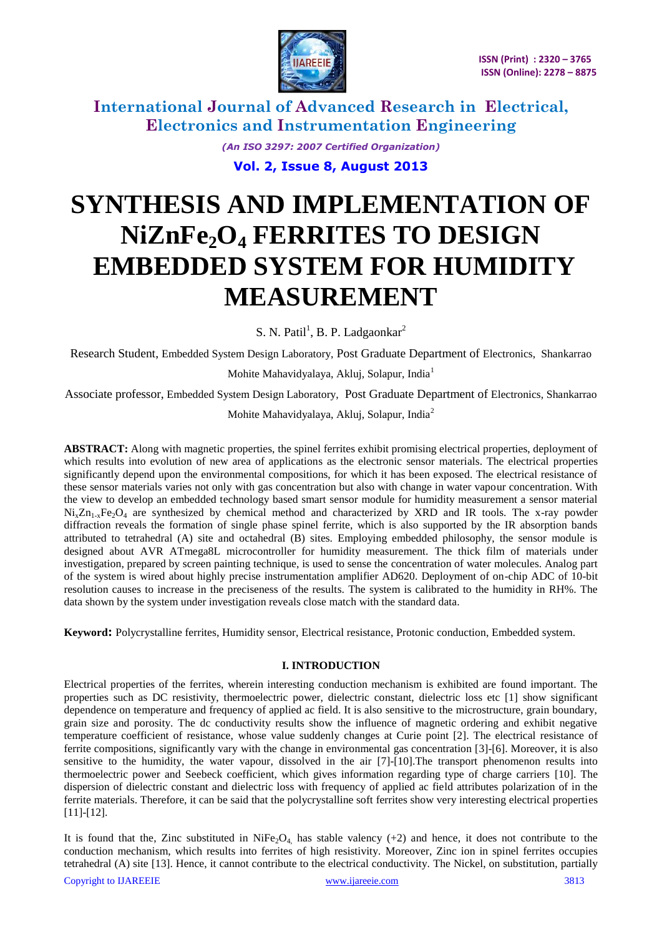

> *(An ISO 3297: 2007 Certified Organization)* **Vol. 2, Issue 8, August 2013**

# **SYNTHESIS AND IMPLEMENTATION OF NiZnFe2O<sup>4</sup> FERRITES TO DESIGN EMBEDDED SYSTEM FOR HUMIDITY MEASUREMENT**

S. N. Patil<sup>1</sup>, B. P. Ladgaonkar<sup>2</sup>

Research Student, Embedded System Design Laboratory, Post Graduate Department of Electronics, Shankarrao

Mohite Mahavidyalaya, Akluj, Solapur, India<sup>1</sup>

Associate professor, Embedded System Design Laboratory, Post Graduate Department of Electronics, Shankarrao

Mohite Mahavidyalaya, Akluj, Solapur, India<sup>2</sup>

**ABSTRACT:** Along with magnetic properties, the spinel ferrites exhibit promising electrical properties, deployment of which results into evolution of new area of applications as the electronic sensor materials. The electrical properties significantly depend upon the environmental compositions, for which it has been exposed. The electrical resistance of these sensor materials varies not only with gas concentration but also with change in water vapour concentration. With the view to develop an embedded technology based smart sensor module for humidity measurement a sensor material  $Ni_xZn_{1-x}Fe_2O_4$  are synthesized by chemical method and characterized by XRD and IR tools. The x-ray powder diffraction reveals the formation of single phase spinel ferrite, which is also supported by the IR absorption bands attributed to tetrahedral (A) site and octahedral (B) sites. Employing embedded philosophy, the sensor module is designed about AVR ATmega8L microcontroller for humidity measurement. The thick film of materials under investigation, prepared by screen painting technique, is used to sense the concentration of water molecules. Analog part of the system is wired about highly precise instrumentation amplifier AD620. Deployment of on-chip ADC of 10-bit resolution causes to increase in the preciseness of the results. The system is calibrated to the humidity in RH%. The data shown by the system under investigation reveals close match with the standard data.

**Keyword:** Polycrystalline ferrites, Humidity sensor, Electrical resistance, Protonic conduction, Embedded system.

#### **I. INTRODUCTION**

Electrical properties of the ferrites, wherein interesting conduction mechanism is exhibited are found important. The properties such as DC resistivity, thermoelectric power, dielectric constant, dielectric loss etc [1] show significant dependence on temperature and frequency of applied ac field. It is also sensitive to the microstructure, grain boundary, grain size and porosity. The dc conductivity results show the influence of magnetic ordering and exhibit negative temperature coefficient of resistance, whose value suddenly changes at Curie point [2]. The electrical resistance of ferrite compositions, significantly vary with the change in environmental gas concentration [3]-[6]. Moreover, it is also sensitive to the humidity, the water vapour, dissolved in the air [7]-[10].The transport phenomenon results into thermoelectric power and Seebeck coefficient, which gives information regarding type of charge carriers [10]. The dispersion of dielectric constant and dielectric loss with frequency of applied ac field attributes polarization of in the ferrite materials. Therefore, it can be said that the polycrystalline soft ferrites show very interesting electrical properties [11]-[12].

It is found that the, Zinc substituted in NiFe<sub>2</sub>O<sub>4</sub>, has stable valency (+2) and hence, it does not contribute to the conduction mechanism, which results into ferrites of high resistivity. Moreover, Zinc ion in spinel ferrites occupies tetrahedral (A) site [13]. Hence, it cannot contribute to the electrical conductivity. The Nickel, on substitution, partially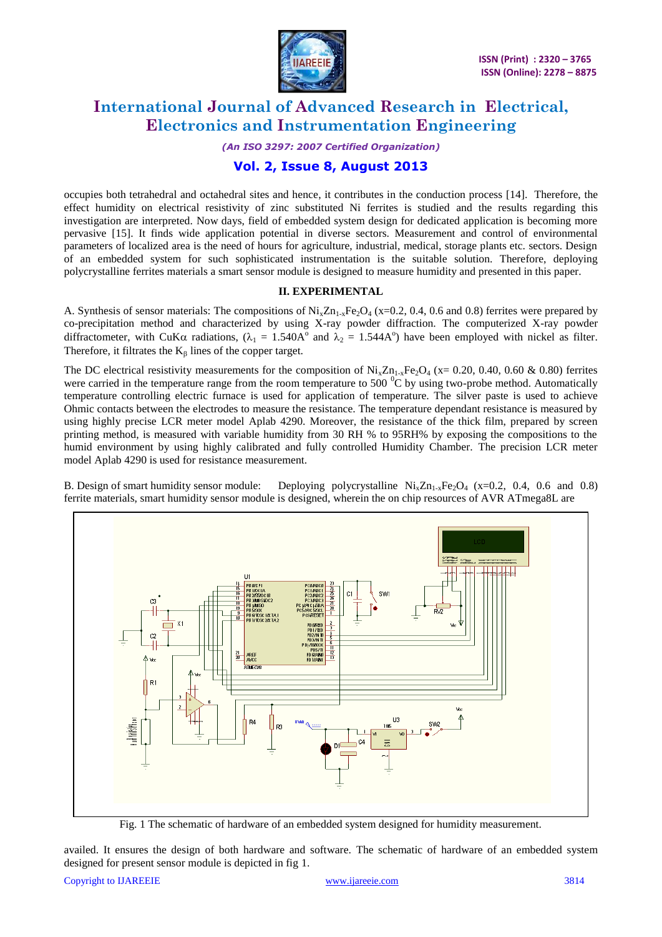

*(An ISO 3297: 2007 Certified Organization)*

### **Vol. 2, Issue 8, August 2013**

occupies both tetrahedral and octahedral sites and hence, it contributes in the conduction process [14]. Therefore, the effect humidity on electrical resistivity of zinc substituted Ni ferrites is studied and the results regarding this investigation are interpreted. Now days, field of embedded system design for dedicated application is becoming more pervasive [15]. It finds wide application potential in diverse sectors. Measurement and control of environmental parameters of localized area is the need of hours for agriculture, industrial, medical, storage plants etc. sectors. Design of an embedded system for such sophisticated instrumentation is the suitable solution. Therefore, deploying polycrystalline ferrites materials a smart sensor module is designed to measure humidity and presented in this paper.

#### **II. EXPERIMENTAL**

A. Synthesis of sensor materials: The compositions of  $N_{1x}Z_{11-x}Fe<sub>2</sub>O<sub>4</sub>$  (x=0.2, 0.4, 0.6 and 0.8) ferrites were prepared by co-precipitation method and characterized by using X-ray powder diffraction. The computerized X-ray powder diffractometer, with CuK $\alpha$  radiations,  $(\lambda_1 = 1.540A^{\circ}$  and  $\lambda_2 = 1.544A^{\circ}$ ) have been employed with nickel as filter. Therefore, it filtrates the  $K_{\beta}$  lines of the copper target.

The DC electrical resistivity measurements for the composition of  $Ni_xZn_{1-x}Fe_2O_4$  (x= 0.20, 0.40, 0.60 & 0.80) ferrites were carried in the temperature range from the room temperature to 500  $^{\circ}$ C by using two-probe method. Automatically temperature controlling electric furnace is used for application of temperature. The silver paste is used to achieve Ohmic contacts between the electrodes to measure the resistance. The temperature dependant resistance is measured by using highly precise LCR meter model Aplab 4290. Moreover, the resistance of the thick film, prepared by screen printing method, is measured with variable humidity from 30 RH % to 95RH% by exposing the compositions to the humid environment by using highly calibrated and fully controlled Humidity Chamber. The precision LCR meter model Aplab 4290 is used for resistance measurement.

B. Design of smart humidity sensor module: Deploying polycrystalline  $N_iZn_{1,x}Fe_2O_4$  (x=0.2, 0.4, 0.6 and 0.8) ferrite materials, smart humidity sensor module is designed, wherein the on chip resources of AVR ATmega8L are



Fig. 1 The schematic of hardware of an embedded system designed for humidity measurement.

availed. It ensures the design of both hardware and software. The schematic of hardware of an embedded system designed for present sensor module is depicted in fig 1.

Copyright to IJAREEIE [www.ijareeie.com](http://www.ijareeie.com/) 3814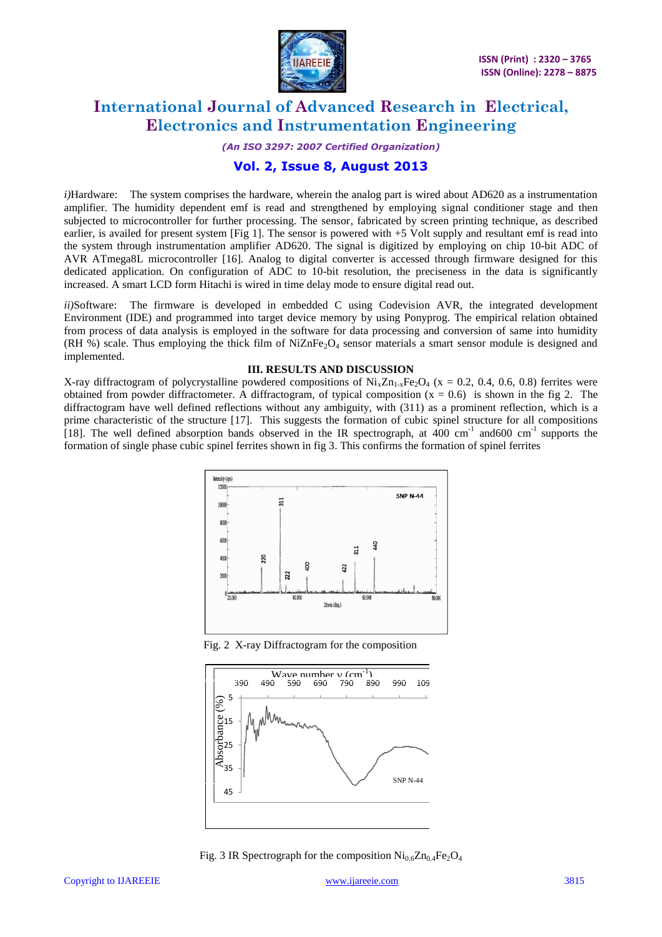

*(An ISO 3297: 2007 Certified Organization)*

### **Vol. 2, Issue 8, August 2013**

*i)*Hardware: The system comprises the hardware, wherein the analog part is wired about AD620 as a instrumentation amplifier. The humidity dependent emf is read and strengthened by employing signal conditioner stage and then subjected to microcontroller for further processing. The sensor, fabricated by screen printing technique, as described earlier, is availed for present system [Fig 1]. The sensor is powered with +5 Volt supply and resultant emf is read into the system through instrumentation amplifier AD620. The signal is digitized by employing on chip 10-bit ADC of AVR ATmega8L microcontroller [16]. Analog to digital converter is accessed through firmware designed for this dedicated application. On configuration of ADC to 10-bit resolution, the preciseness in the data is significantly increased. A smart LCD form Hitachi is wired in time delay mode to ensure digital read out.

*ii)*Software: The firmware is developed in embedded C using Codevision AVR, the integrated development Environment (IDE) and programmed into target device memory by using Ponyprog. The empirical relation obtained from process of data analysis is employed in the software for data processing and conversion of same into humidity (RH %) scale. Thus employing the thick film of NiZnFe<sub>2</sub>O<sub>4</sub> sensor materials a smart sensor module is designed and implemented.

#### **III. RESULTS AND DISCUSSION**

X-ray diffractogram of polycrystalline powdered compositions of  $Ni_xZn_{1-x}Fe_2O_4$  (x = 0.2, 0.4, 0.6, 0.8) ferrites were obtained from powder diffractometer. A diffractogram, of typical composition  $(x = 0.6)$  is shown in the fig 2. The diffractogram have well defined reflections without any ambiguity, with (311) as a prominent reflection, which is a prime characteristic of the structure [17]. This suggests the formation of cubic spinel structure for all compositions [18]. The well defined absorption bands observed in the IR spectrograph, at  $400 \text{ cm}^{-1}$  and  $600 \text{ cm}^{-1}$  supports the formation of single phase cubic spinel ferrites shown in fig 3. This confirms the formation of spinel ferrites



Fig. 2 X-ray Diffractogram for the composition



Fig. 3 IR Spectrograph for the composition  $\text{Ni}_{0.6}\text{Zn}_{0.4}\text{Fe}_2\text{O}_4$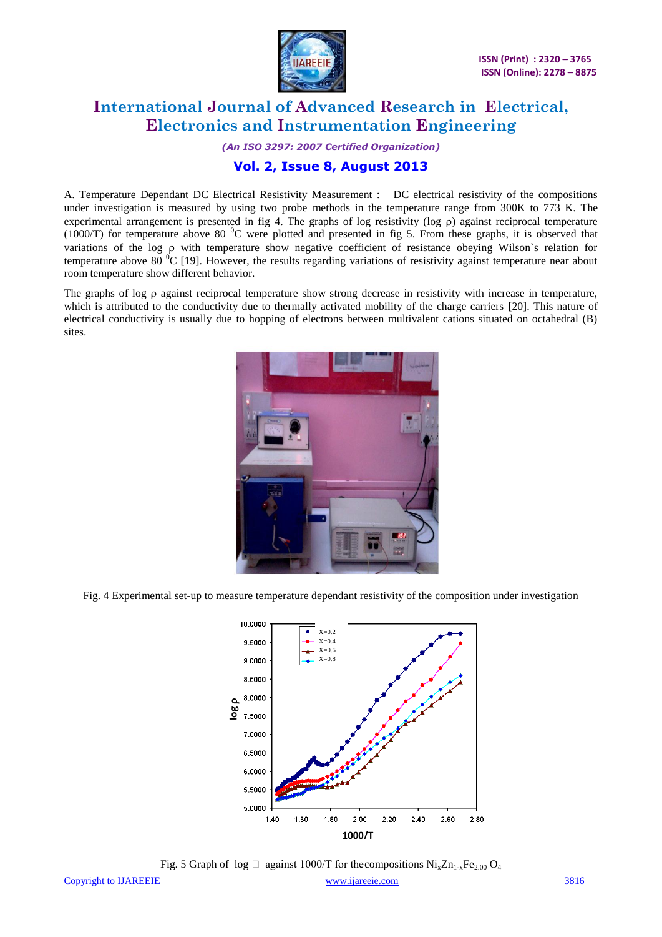

*(An ISO 3297: 2007 Certified Organization)*

### **Vol. 2, Issue 8, August 2013**

A. Temperature Dependant DC Electrical Resistivity Measurement : DC electrical resistivity of the compositions under investigation is measured by using two probe methods in the temperature range from 300K to 773 K. The experimental arrangement is presented in fig 4. The graphs of log resistivity ( $log \rho$ ) against reciprocal temperature (1000/T) for temperature above 80  $\degree$ C were plotted and presented in fig 5. From these graphs, it is observed that variations of the log  $\rho$  with temperature show negative coefficient of resistance obeying Wilson's relation for temperature above 80 $^{0}$ C [19]. However, the results regarding variations of resistivity against temperature near about room temperature show different behavior.

The graphs of log  $\rho$  against reciprocal temperature show strong decrease in resistivity with increase in temperature, which is attributed to the conductivity due to thermally activated mobility of the charge carriers [20]. This nature of electrical conductivity is usually due to hopping of electrons between multivalent cations situated on octahedral (B) sites.



Fig. 4 Experimental set-up to measure temperature dependant resistivity of the composition under investigation



Fig. 5 Graph of  $log$  against 1000/T for the compositions  $Ni_xZn_{1-x}Fe_{2.00}O_4$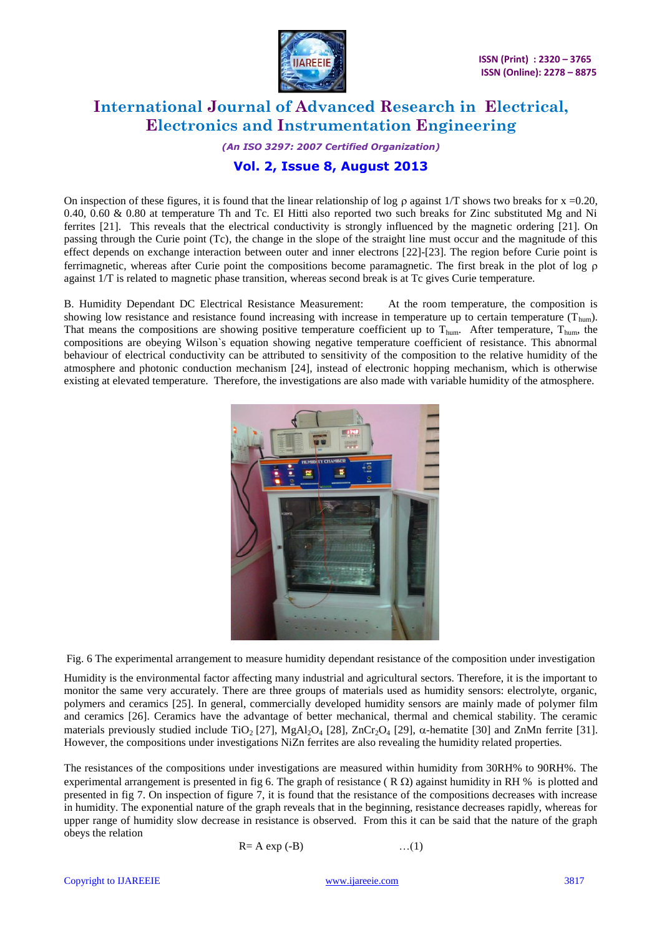

*(An ISO 3297: 2007 Certified Organization)*

### **Vol. 2, Issue 8, August 2013**

On inspection of these figures, it is found that the linear relationship of log  $\rho$  against 1/T shows two breaks for x =0.20, 0.40, 0.60 & 0.80 at temperature Th and Tc. EI Hitti also reported two such breaks for Zinc substituted Mg and Ni ferrites [21]. This reveals that the electrical conductivity is strongly influenced by the magnetic ordering [21]. On passing through the Curie point (Tc), the change in the slope of the straight line must occur and the magnitude of this effect depends on exchange interaction between outer and inner electrons [22]-[23]. The region before Curie point is ferrimagnetic, whereas after Curie point the compositions become paramagnetic. The first break in the plot of log  $\rho$ against 1/T is related to magnetic phase transition, whereas second break is at Tc gives Curie temperature.

B. Humidity Dependant DC Electrical Resistance Measurement: At the room temperature, the composition is showing low resistance and resistance found increasing with increase in temperature up to certain temperature  $(T_{\text{hum}})$ . That means the compositions are showing positive temperature coefficient up to  $T_{\text{hum}}$ . After temperature,  $T_{\text{hum}}$ , the compositions are obeying Wilson`s equation showing negative temperature coefficient of resistance. This abnormal behaviour of electrical conductivity can be attributed to sensitivity of the composition to the relative humidity of the atmosphere and photonic conduction mechanism [24], instead of electronic hopping mechanism, which is otherwise existing at elevated temperature. Therefore, the investigations are also made with variable humidity of the atmosphere.



Fig. 6 The experimental arrangement to measure humidity dependant resistance of the composition under investigation

Humidity is the environmental factor affecting many industrial and agricultural sectors. Therefore, it is the important to monitor the same very accurately. There are three groups of materials used as humidity sensors: electrolyte, organic, polymers and ceramics [25]. In general, commercially developed humidity sensors are mainly made of polymer film and ceramics [26]. Ceramics have the advantage of better mechanical, thermal and chemical stability. The ceramic materials previously studied include TiO<sub>2</sub> [27], MgAl<sub>2</sub>O<sub>4</sub> [28], ZnCr<sub>2</sub>O<sub>4</sub> [29],  $\alpha$ -hematite [30] and ZnMn ferrite [31]. However, the compositions under investigations NiZn ferrites are also revealing the humidity related properties.

The resistances of the compositions under investigations are measured within humidity from 30RH% to 90RH%. The experimental arrangement is presented in fig 6. The graph of resistance ( $R \Omega$ ) against humidity in RH % is plotted and presented in fig 7. On inspection of figure 7, it is found that the resistance of the compositions decreases with increase in humidity. The exponential nature of the graph reveals that in the beginning, resistance decreases rapidly, whereas for upper range of humidity slow decrease in resistance is observed. From this it can be said that the nature of the graph obeys the relation

$$
R = A \exp(-B) \qquad \qquad \dots (1)
$$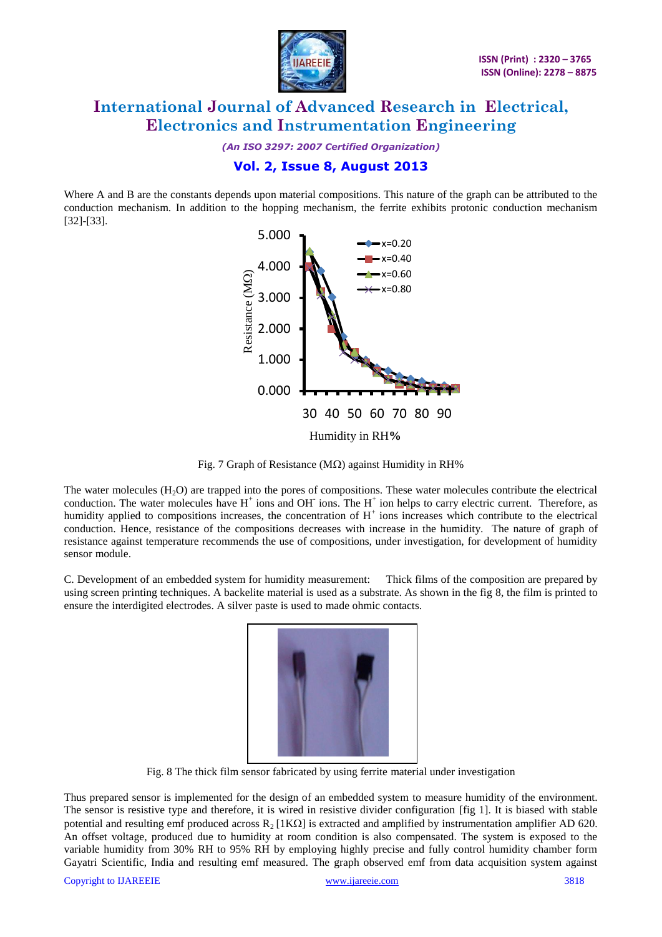

*(An ISO 3297: 2007 Certified Organization)*

#### **Vol. 2, Issue 8, August 2013**

Where A and B are the constants depends upon material compositions. This nature of the graph can be attributed to the conduction mechanism. In addition to the hopping mechanism, the ferrite exhibits protonic conduction mechanism [32]-[33].



Fig. 7 Graph of Resistance ( $M\Omega$ ) against Humidity in RH%

The water molecules  $(H<sub>2</sub>O)$  are trapped into the pores of compositions. These water molecules contribute the electrical conduction. The water molecules have  $H^+$  ions and OH ions. The  $H^+$  ion helps to carry electric current. Therefore, as humidity applied to compositions increases, the concentration of  $H<sup>+</sup>$  ions increases which contribute to the electrical conduction. Hence, resistance of the compositions decreases with increase in the humidity. The nature of graph of resistance against temperature recommends the use of compositions, under investigation, for development of humidity sensor module.

C. Development of an embedded system for humidity measurement: Thick films of the composition are prepared by using screen printing techniques. A backelite material is used as a substrate. As shown in the fig 8, the film is printed to ensure the interdigited electrodes. A silver paste is used to made ohmic contacts.



Fig. 8 The thick film sensor fabricated by using ferrite material under investigation

Thus prepared sensor is implemented for the design of an embedded system to measure humidity of the environment. The sensor is resistive type and therefore, it is wired in resistive divider configuration [fig 1]. It is biased with stable potential and resulting emf produced across  $R_2$  [1K $\Omega$ ] is extracted and amplified by instrumentation amplifier AD 620. An offset voltage, produced due to humidity at room condition is also compensated. The system is exposed to the variable humidity from 30% RH to 95% RH by employing highly precise and fully control humidity chamber form Gayatri Scientific, India and resulting emf measured. The graph observed emf from data acquisition system against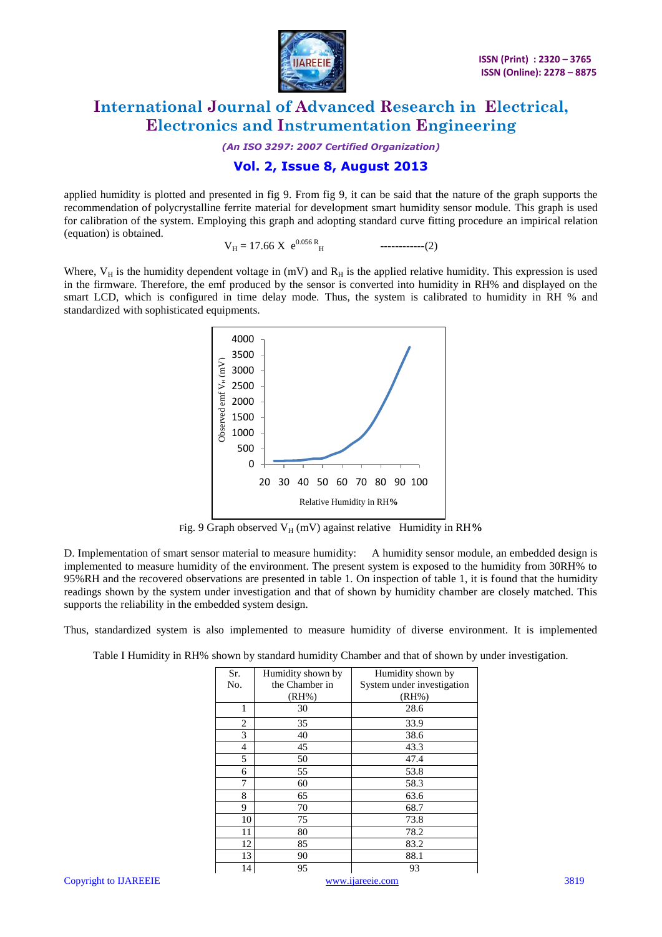

*(An ISO 3297: 2007 Certified Organization)*

### **Vol. 2, Issue 8, August 2013**

applied humidity is plotted and presented in fig 9. From fig 9, it can be said that the nature of the graph supports the recommendation of polycrystalline ferrite material for development smart humidity sensor module. This graph is used for calibration of the system. Employing this graph and adopting standard curve fitting procedure an impirical relation (equation) is obtained.

 $V_H = 17.66 \text{ X } e^{0.056 \text{ R}}$ <sup>H</sup>**------------**(2)

Where,  $V_H$  is the humidity dependent voltage in (mV) and  $R_H$  is the applied relative humidity. This expression is used in the firmware. Therefore, the emf produced by the sensor is converted into humidity in RH% and displayed on the smart LCD, which is configured in time delay mode. Thus, the system is calibrated to humidity in RH % and standardized with sophisticated equipments.



Fig. 9 Graph observed V<sub>H</sub> (mV) against relative Humidity in RH%

D. Implementation of smart sensor material to measure humidity: A humidity sensor module, an embedded design is implemented to measure humidity of the environment. The present system is exposed to the humidity from 30RH% to 95%RH and the recovered observations are presented in table 1. On inspection of table 1, it is found that the humidity readings shown by the system under investigation and that of shown by humidity chamber are closely matched. This supports the reliability in the embedded system design.

Thus, standardized system is also implemented to measure humidity of diverse environment. It is implemented

Table I Humidity in RH% shown by standard humidity Chamber and that of shown by under investigation.

| Sr. | Humidity shown by | Humidity shown by          |
|-----|-------------------|----------------------------|
| No. | the Chamber in    | System under investigation |
|     | (RH%              | (RH%                       |
| 1   | 30                | 28.6                       |
| 2   | 35                | 33.9                       |
| 3   | 40                | 38.6                       |
| 4   | 45                | 43.3                       |
| 5   | 50                | 47.4                       |
| 6   | 55                | 53.8                       |
| 7   | 60                | 58.3                       |
| 8   | 65                | 63.6                       |
| 9   | 70                | 68.7                       |
| 10  | 75                | 73.8                       |
| 11  | 80                | 78.2                       |
| 12  | 85                | 83.2                       |
| 13  | 90                | 88.1                       |
| 14  | 95                | 93                         |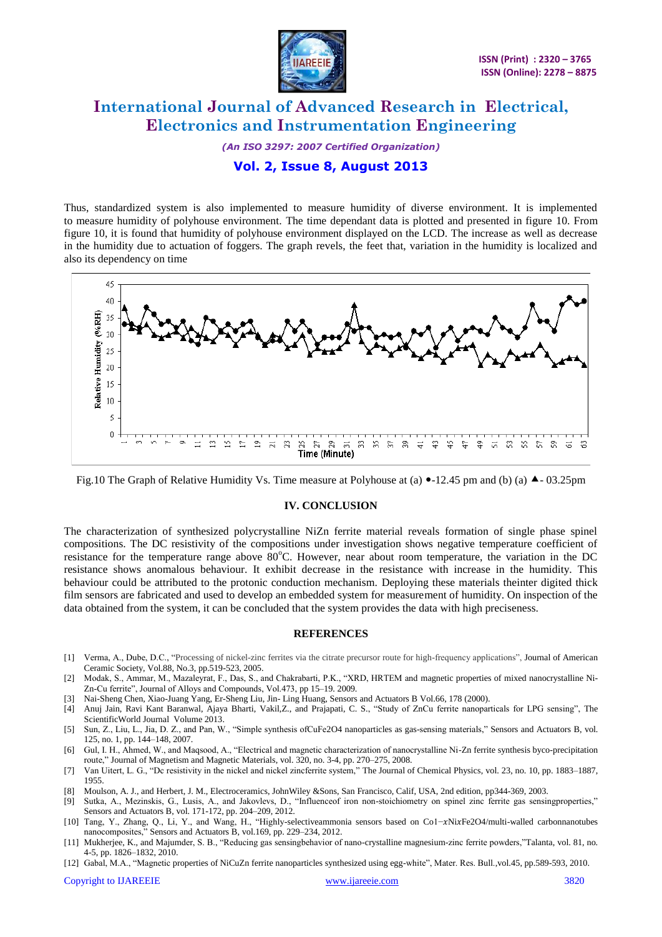

*(An ISO 3297: 2007 Certified Organization)*

### **Vol. 2, Issue 8, August 2013**

Thus, standardized system is also implemented to measure humidity of diverse environment. It is implemented to meas*u*re humidity of polyhouse environment. The time dependant data is plotted and presented in figure 10. From figure 10, it is found that humidity of polyhouse environment displayed on the LCD. The increase as well as decrease in the humidity due to actuation of foggers. The graph revels, the feet that, variation in the humidity is localized and also its dependency on time



Fig.10 The Graph of Relative Humidity Vs. Time measure at Polyhouse at (a)  $\bullet$ -12.45 pm and (b) (a)  $\bullet$ -03.25pm

#### **IV. CONCLUSION**

The characterization of synthesized polycrystalline NiZn ferrite material reveals formation of single phase spinel compositions. The DC resistivity of the compositions under investigation shows negative temperature coefficient of resistance for the temperature range above  $80^{\circ}$ C. However, near about room temperature, the variation in the DC resistance shows anomalous behaviour. It exhibit decrease in the resistance with increase in the humidity. This behaviour could be attributed to the protonic conduction mechanism. Deploying these materials theinter digited thick film sensors are fabricated and used to develop an embedded system for measurement of humidity. On inspection of the data obtained from the system, it can be concluded that the system provides the data with high preciseness.

#### **REFERENCES**

- [1] Verma, A., Dube, D.C., "Processing of nickel-zinc ferrites via the citrate precursor route for high-frequency applications", Journal of American Ceramic Society, Vol.88, No.3, pp.519-523, 2005.
- [2] Modak, S., Ammar, M., Mazaleyrat, F., Das, S., and Chakrabarti, P.K., "XRD, HRTEM and magnetic properties of mixed nanocrystalline Ni-Zn-Cu ferrite", Journal of Alloys and Compounds, Vol.473, pp 15–19. 2009.
- [3] Nai-Sheng Chen, Xiao-Juang Yang, Er-Sheng Liu, Jin- Ling Huang, Sensors and Actuators B Vol.66, 178 (2000).
- [4] Anuj Jain, Ravi Kant Baranwal, Ajaya Bharti, Vakil,Z., and Prajapati, C. S., "Study of ZnCu ferrite nanoparticals for LPG sensing", The ScientificWorld Journal Volume 2013.
- [5] Sun, Z., Liu, L., Jia, D. Z., and Pan, W., "Simple synthesis ofCuFe2O4 nanoparticles as gas-sensing materials," Sensors and Actuators B, vol. 125, no. 1, pp. 144–148, 2007.
- [6] Gul, I. H., Ahmed, W., and Maqsood, A., "Electrical and magnetic characterization of nanocrystalline Ni-Zn ferrite synthesis byco-precipitation route," Journal of Magnetism and Magnetic Materials, vol. 320, no. 3-4, pp. 270–275, 2008.
- [7] Van Uitert, L. G., "Dc resistivity in the nickel and nickel zincferrite system," The Journal of Chemical Physics, vol. 23, no. 10, pp. 1883–1887, 1955.
- [8] Moulson, A. J., and Herbert, J. M., Electroceramics, JohnWiley &Sons, San Francisco, Calif, USA, 2nd edition, pp344-369, 2003.
- [9] Sutka, A., Mezinskis, G., Lusis, A., and Jakovlevs, D., "Influenceof iron non-stoichiometry on spinel zinc ferrite gas sensingproperties," Sensors and Actuators B, vol. 171-172, pp. 204–209, 2012.
- [10] Tang, Y., Zhang, Q., Li, Y., and Wang, H., "Highly-selectiveammonia sensors based on Co1-xNixFe2O4/multi-walled carbonnanotubes nanocomposites," Sensors and Actuators B, vol.169, pp. 229–234, 2012.
- [11] Mukherjee, K., and Majumder, S. B., "Reducing gas sensingbehavior of nano-crystalline magnesium-zinc ferrite powders,"Talanta, vol. 81, no. 4-5, pp. 1826–1832, 2010.
- [12] Gabal, M.A., "Magnetic properties of NiCuZn ferrite nanoparticles synthesized using egg-white", Mater. Res. Bull.,vol.45, pp.589-593, 2010.